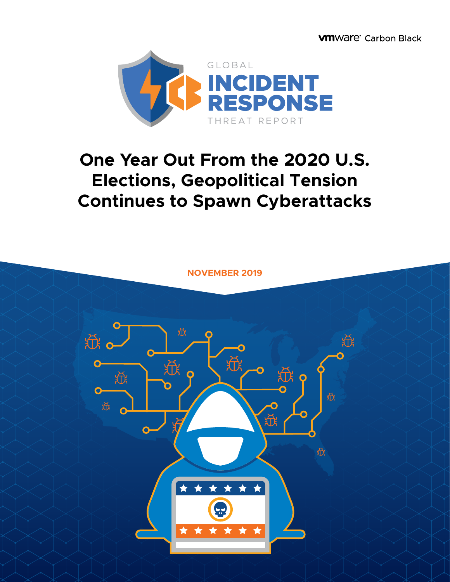**WINDRE** Carbon Black



# **One Year Out From the 2020 U.S. Elections, Geopolitical Tension Continues to Spawn Cyberattacks**

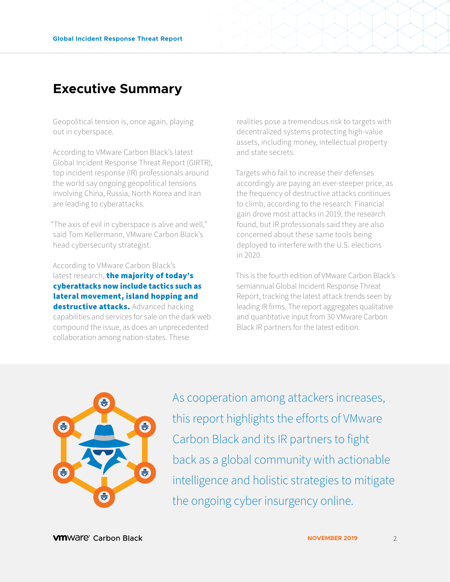### **Executive Summary**

Geopolitical tension is, once again, playing out in cyberspace.

According to VMware Carbon Black's latest Global Incident Response Threat Report (GIRTR), top incident response (IR) professionals around the world say ongoing geopolitical tensions involving China, Russia, North Korea and Iran are leading to cyberattacks.

"The axis of evil in cyberspace is alive and well," said Tom Kellermann, VMware Carbon Black's head cybersecurity strategist.

According to VMware Carbon Black's latest research, the majority of today's cyberattacks now include tactics such as lateral movement, island hopping and destructive attacks. Advanced hacking capabilities and services for sale on the dark web compound the issue, as does an unprecedented collaboration among nation-states. These

realities pose a tremendous risk to targets with decentralized systems protecting high-value assets, including money, intellectual property and state secrets.

Targets who fail to increase their defenses accordingly are paying an ever-steeper price, as the frequency of destructive attacks continues to climb, according to the research. Financial gain drove most attacks in 2019, the research found, but IR professionals said they are also concerned about these same tools being deployed to interfere with the U.S. elections in 2020.

This is the fourth edition of VMware Carbon Black's semiannual Global Incident Response Threat Report, tracking the latest attack trends seen by leading IR firms. The report aggregates qualitative and quantitative input from 30 VMware Carbon Black IR partners for the latest edition.



As cooperation among attackers increases, this report highlights the efforts of VMware Carbon Black and its IR partners to fight back as a global community with actionable intelligence and holistic strategies to mitigate the ongoing cyber insurgency online.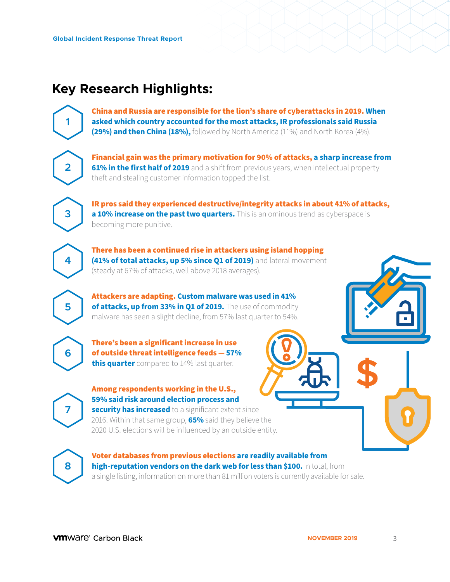## **Key Research Highlights:**

China and Russia are responsible for the lion's share of cyberattacks in 2019. **When asked which country accounted for the most attacks, IR professionals said Russia (29%) and then China (18%)**, followed by North America (11%) and North Korea (4%).

**2**

**3**

**4**

**5**

**6**

**1**

Financial gain was the primary motivation for 90% of attacks, **a sharp increase from 61% in the first half of 2019** and a shift from previous years, when intellectual property theft and stealing customer information topped the list.

IR pros said they experienced destructive/integrity attacks in about 41% of attacks, **a 10% increase on the past two quarters.** This is an ominous trend as cyberspace is becoming more punitive.

There has been a continued rise in attackers using island hopping **(41% of total attacks, up 5% since 01 of 2019)** and lateral movement (steady at 67% of attacks, well above 2018 averages).

Attackers are adapting. **Custom malware was used in 41% of attacks, up from 33% in Q1 of 2019.** The use of commodity malware has seen a slight decline, from 57% last quarter to 54%.

There's been a significant increase in use of outside threat intelligence feeds — **57% this quarter** compared to 14% last quarter.

**7**

#### Among respondents working in the U.S., **59% said risk around election process and**

**security has increased** to a significant extent since 2016. Within that same group, **65%** said they believe the 2020 U.S. elections will be influenced by an outside entity.

**8**

Voter databases from previous elections **are readily available from high-reputation vendors on the dark web for less than \$100.** In total, from a single listing, information on more than 81 million voters is currently available for sale.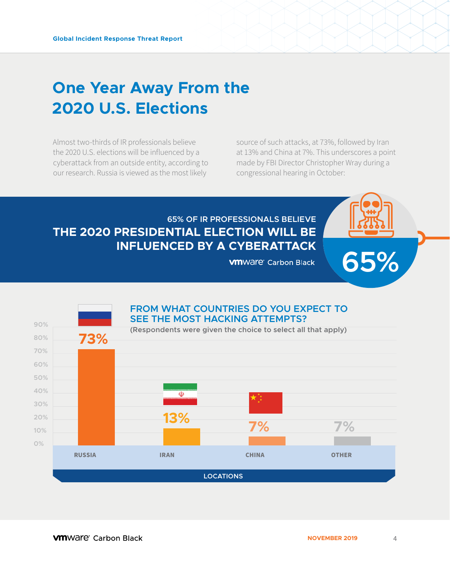# **One Year Away From the 2020 U.S. Elections**

Almost two-thirds of IR professionals believe the 2020 U.S. elections will be influenced by a cyberattack from an outside entity, according to our research. Russia is viewed as the most likely

source of such attacks, at 73%, followed by Iran at 13% and China at 7%. This underscores a point made by FBI Director Christopher Wray during a congressional hearing in October:

**65%**

### **65% OF IR PROFESSIONALS BELIEVE THE 2020 PRESIDENTIAL ELECTION WILL BE INFLUENCED BY A CYBERATTACK**

**VM**Ware<sup>®</sup> Carbon Black

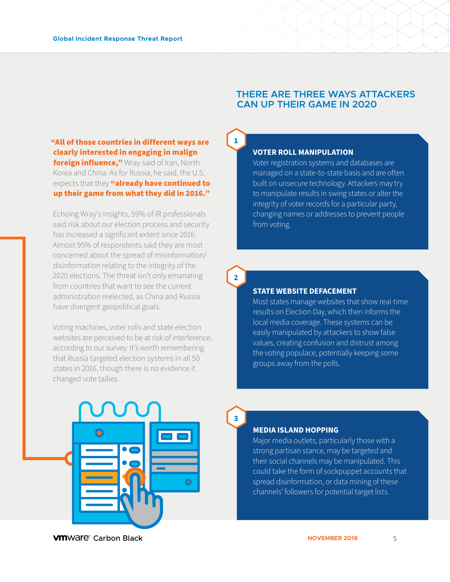#### **THERE ARE THREE WAYS ATTACKERS CAN UP THEIR GAME IN 2020**

#### "All of those countries in different ways are clearly interested in engaging in malign **foreign influence,"** Wray said of Iran, North Korea and China. As for Russia, he said, the U.S. expects that they "already have continued to up their game from what they did in 2016."

Echoing Wray's insights, 59% of IR professionals said risk about our election process and security has increased a significant extent since 2016. Almost 95% of respondents said they are most concerned about the spread of misinformation/ disinformation relating to the integrity of the 2020 elections. The threat isn't only emanating from countries that want to see the current administration reelected, as China and Russia have divergent geopolitical goals.

Voting machines, voter rolls and state election websites are perceived to be at risk of interference, according to our survey. It's worth remembering that Russia targeted election systems in all 50 states in 2016, though there is no evidence it changed vote tallies.

#### **VOTER ROLL MANIPULATION**

**1.**

**2.**

**3.**

Voter registration systems and databases are managed on a state-to-state basis and are often built on unsecure technology. Attackers may try to manipulate results in swing states or alter the integrity of voter records for a particular party, changing names or addresses to prevent people from voting.

#### **STATE WEBSITE DEFACEMENT**

Most states manage websites that show real-time results on Election Day, which then informs the local media coverage. These systems can be easily manipulated by attackers to show false values, creating confusion and distrust among the voting populace, potentially keeping some groups away from the polls.



#### **MEDIA ISLAND HOPPING**

Major media outlets, particularly those with a strong partisan stance, may be targeted and their social channels may be manipulated. This could take the form of sockpuppet accounts that spread disinformation, or data mining of these channels' followers for potential target lists.

**VM**Ware<sup>®</sup> Carbon Black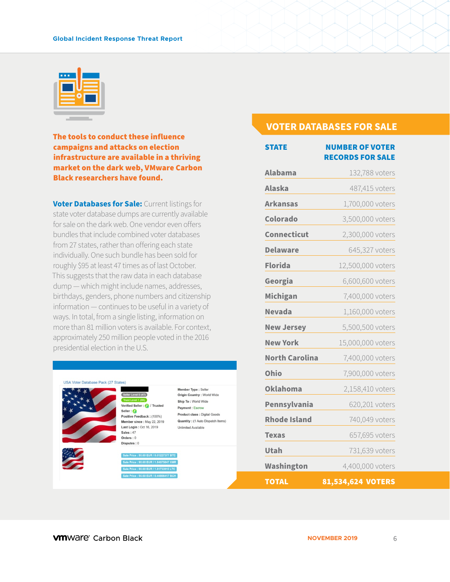#### **Global Incident Response Threat Report**



The tools to conduct these influence campaigns and attacks on election infrastructure are available in a thriving market on the dark web, VMware Carbon Black researchers have found.

**Voter Databases for Sale: Current listings for** state voter database dumps are currently available for sale on the dark web. One vendor even offers bundles that include combined voter databases from 27 states, rather than offering each state individually. One such bundle has been sold for roughly \$95 at least 47 times as of last October. This suggests that the raw data in each database dump — which might include names, addresses, birthdays, genders, phone numbers and citizenship information — continues to be useful in a variety of ways. In total, from a single listing, information on more than 81 million voters is available. For context, approximately 250 million people voted in the 2016 presidential election in the U.S.

|                                         | Member Type : Seller              |
|-----------------------------------------|-----------------------------------|
| Seller Level 0 (47)                     | Origin Country : World Wide       |
| Trust Level 1 (OK)                      | Ship To: World Wide               |
| Verified Seller : <b>(2)</b> / Trusted  | Payment : Escrow                  |
| Seller: A<br>Positive Feedback: (100%)  | Product class : Digital Goods     |
| Member since: May 22, 2019              | Quantity: (1 Auto Dispatch Items) |
| Last Login: Oct 16, 2019                | <b>Unlimited Available</b>        |
| <b>Sales: 47</b>                        |                                   |
| Orders: 0                               |                                   |
| Disputes: 0                             |                                   |
| Sale Price : 90.60 EUR / 0.01227377 BTC |                                   |
| Sale Price : 90.60 EUR / 1.84075847 XMR |                                   |
| Sale Price : 90.60 EUR / 1.81733915 LTC |                                   |
| Sale Price : 90.60 EUR / 0.44806417 BCH |                                   |

#### **VOTER DATABASES FOR SALE**

| <b>STATE</b>          | <b>NUMBER OF VOTER</b>  |
|-----------------------|-------------------------|
|                       | <b>RECORDS FOR SALE</b> |
| <b>Alabama</b>        | 132,788 voters          |
| <b>Alaska</b>         | 487,415 voters          |
| <b>Arkansas</b>       | 1,700,000 voters        |
| Colorado              | 3,500,000 voters        |
| <b>Connecticut</b>    | 2,300,000 voters        |
| <b>Delaware</b>       | 645,327 voters          |
| <b>Florida</b>        | 12,500,000 voters       |
| Georgia               | 6,600,600 voters        |
| <b>Michigan</b>       | 7,400,000 voters        |
| <b>Nevada</b>         | 1,160,000 voters        |
| <b>New Jersey</b>     | 5,500,500 voters        |
| <b>New York</b>       | 15,000,000 voters       |
| <b>North Carolina</b> | 7,400,000 voters        |
| Ohio                  | 7,900,000 voters        |
| <b>Oklahoma</b>       | 2,158,410 voters        |
| Pennsylvania          | 620,201 voters          |
| <b>Rhode Island</b>   | 740,049 voters          |
| Texas                 | 657,695 voters          |
| <b>Utah</b>           | 731,639 voters          |
| Washington            | 4,400,000 voters        |
| <b>TOTAL</b>          | 81,534,624 VOTERS       |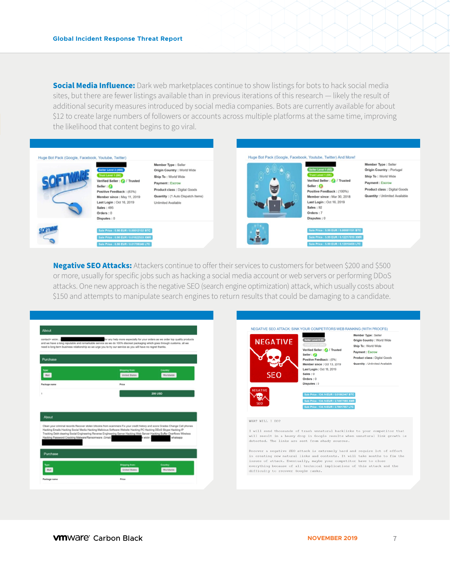**Social Media Influence:** Dark web marketplaces continue to show listings for bots to hack social media sites, but there are fewer listings available than in previous iterations of this research — likely the result of additional security measures introduced by social media companies. Bots are currently available for about \$12 to create large numbers of followers or accounts across multiple platforms at the same time, improving the likelihood that content begins to go viral.



**Negative SEO Attacks:** Attackers continue to offer their services to customers for between \$200 and \$500 or more, usually for specific jobs such as hacking a social media account or web servers or performing DDoS attacks. One new approach is the negative SEO (search engine optimization) attack, which usually costs about \$150 and attempts to manipulate search engines to return results that could be damaging to a candidate.



| <b>NEGATIVE</b><br>SEO                                                                                   | Seller Level 0 (0)<br>Trust Level 0 (OK)<br>Verified Seller: @ / Trusted<br>Seller: e<br>Positive Feedback: (0%)<br>Member since: Oct 13, 2019<br>Last Login: Oct 18, 2019<br>Sales: 0<br>Orders: 0<br>Disputes: 0 | Member Type : Seller<br>Origin Country : World Wide<br>Ship To: World Wide<br>Payment: Escrow<br>Product class : Digital Goods<br>Quantity : Unlimited Available                                                                   |
|----------------------------------------------------------------------------------------------------------|--------------------------------------------------------------------------------------------------------------------------------------------------------------------------------------------------------------------|------------------------------------------------------------------------------------------------------------------------------------------------------------------------------------------------------------------------------------|
| <b>NEGATIVE</b><br>seo                                                                                   | Sale Price : 134.14 EUR / 0.01862447 BTC<br>Sale Price : 134.14 EUR / 2.74977085 XMR<br>Sale Price : 134.14 EUR / 2.79017857 LTC                                                                                   |                                                                                                                                                                                                                                    |
| WHAT WILL I DO?<br>detected. The links are sent from shady sources.                                      |                                                                                                                                                                                                                    | I will send thousands of trash unnatural backlinks to your competitor that<br>will result in a heavy drop in Google results when unnatural link growth is                                                                          |
| issues of attack. Eventually, maybe your competitor have to close<br>difficulty to recover Google ranks. |                                                                                                                                                                                                                    | Recover a negative SEO attack is extremely hard and require lot of effort<br>in creating new natural links and contents. It will take months to fix the<br>everything because of all technical implications of this attack and the |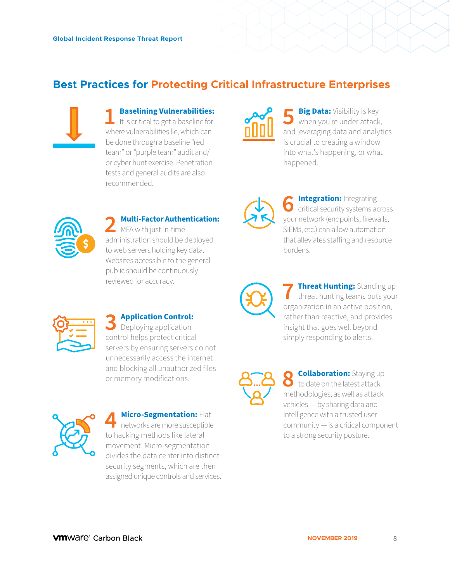### **Best Practices for Protecting Critical Infrastructure Enterprises**



### **1 Baselining Vulnerabilities:**<br>
It is critical to get a baseline for where vulnerabilities lie, which can be done through a baseline "red team" or "purple team" audit and/ or cyber hunt exercise. Penetration tests and general audits are also recommended.



**5 Big Data:** Visibility is key<br>when you're under attack, and leveraging data and analytics is crucial to creating a window into what's happening, or what happened.



#### **2 Multi-Factor Authentication: MFA** with just-in-time administration should be deployed to web servers holding key data. Websites accessible to the general public should be continuously

reviewed for accuracy.



**6 Integration:** Integrating<br>
critical security systems across your network (endpoints, firewalls, SIEMs, etc.) can allow automation that alleviates staffing and resource burdens.



**7 Threat Hunting:** Standing up threat hunting teams puts your organization in an active position, rather than reactive, and provides insight that goes well beyond simply responding to alerts.



**8 Collaboration:** Staying up<br>to date on the latest attack methodologies, as well as attack vehicles — by sharing data and intelligence with a trusted user community — is a critical component to a strong security posture.



**3 Application Control:** Deploying application control helps protect critical servers by ensuring servers do not unnecessarily access the internet and blocking all unauthorized files or memory modifications.



**4 Micro-Segmentation:** Flat<br>
networks are more susceptible<br>
te booking methods like lateral to hacking methods like lateral movement. Micro-segmentation divides the data center into distinct security segments, which are then assigned unique controls and services.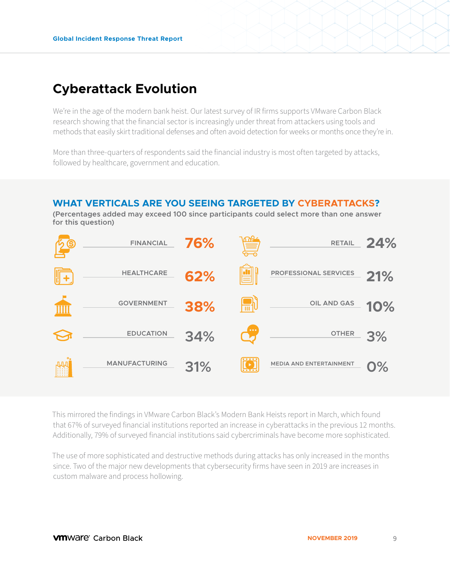## **Cyberattack Evolution**

We're in the age of the modern bank heist. Our latest survey of IR firms supports VMware Carbon Black research showing that the financial sector is increasingly under threat from attackers using tools and methods that easily skirt traditional defenses and often avoid detection for weeks or months once they're in.

More than three-quarters of respondents said the financial industry is most often targeted by attacks, followed by healthcare, government and education.

#### **WHAT VERTICALS ARE YOU SEEING TARGETED BY CYBERATTACKS?**

**(Percentages added may exceed 100 since participants could select more than one answer for this question)**



This mirrored the findings in VMware Carbon Black's Modern Bank Heists report in March, which found that 67% of surveyed financial institutions reported an increase in cyberattacks in the previous 12 months. Additionally, 79% of surveyed financial institutions said cybercriminals have become more sophisticated.

The use of more sophisticated and destructive methods during attacks has only increased in the months since. Two of the major new developments that cybersecurity firms have seen in 2019 are increases in custom malware and process hollowing.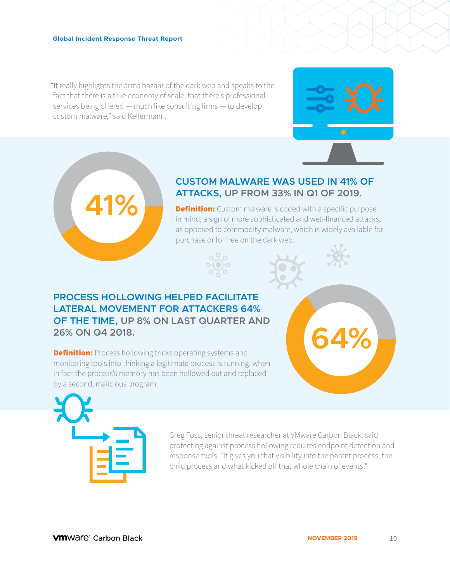**41%**

"It really highlights the arms bazaar of the dark web and speaks to the fact that there is a true economy of scale, that there's professional services being offered — much like consulting firms — to develop custom malware," said Kellermann.



### **CUSTOM MALWARE WAS USED IN 41% OF ATTACKS, UP FROM 33% IN Q1 OF 2019.**

**Definition:** Custom malware is coded with a specific purpose in mind, a sign of more sophisticated and well-financed attacks, as opposed to commodity malware, which is widely available for purchase or for free on the dark web.



### **PROCESS HOLLOWING HELPED FACILITATE LATERAL MOVEMENT FOR ATTACKERS 64% OF THE TIME, UP 8% ON LAST QUARTER AND 26% ON Q4 2018.**

**Definition:** Process hollowing tricks operating systems and monitoring tools into thinking a legitimate process is running, when in fact the process's memory has been hollowed out and replaced by a second, malicious program.



Greg Foss, senior threat researcher at VMware Carbon Black, said protecting against process hollowing requires endpoint detection and response tools. "It gives you that visibility into the parent process, the child process and what kicked off that whole chain of events."

**64%**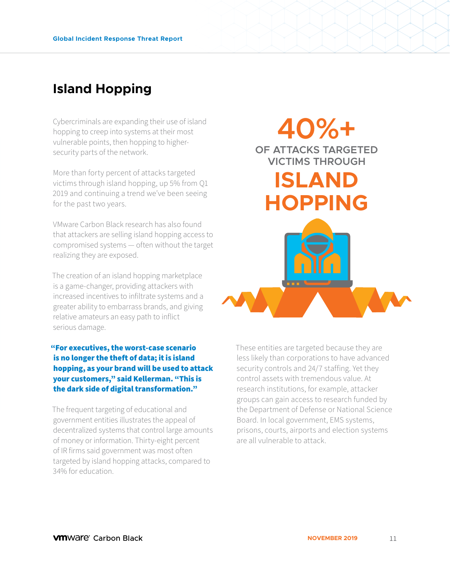# **Island Hopping**

Cybercriminals are expanding their use of island hopping to creep into systems at their most vulnerable points, then hopping to highersecurity parts of the network.

More than forty percent of attacks targeted victims through island hopping, up 5% from Q1 2019 and continuing a trend we've been seeing for the past two years.

VMware Carbon Black research has also found that attackers are selling island hopping access to compromised systems — often without the target realizing they are exposed.

The creation of an island hopping marketplace is a game-changer, providing attackers with increased incentives to infiltrate systems and a greater ability to embarrass brands, and giving relative amateurs an easy path to inflict serious damage.

"For executives, the worst-case scenario is no longer the theft of data; it is island hopping, as your brand will be used to attack your customers," said Kellerman. "This is the dark side of digital transformation."

The frequent targeting of educational and government entities illustrates the appeal of decentralized systems that control large amounts of money or information. Thirty-eight percent of IR firms said government was most often targeted by island hopping attacks, compared to 34% for education.



These entities are targeted because they are less likely than corporations to have advanced security controls and 24/7 staffing. Yet they control assets with tremendous value. At research institutions, for example, attacker groups can gain access to research funded by the Department of Defense or National Science Board. In local government, EMS systems, prisons, courts, airports and election systems are all vulnerable to attack.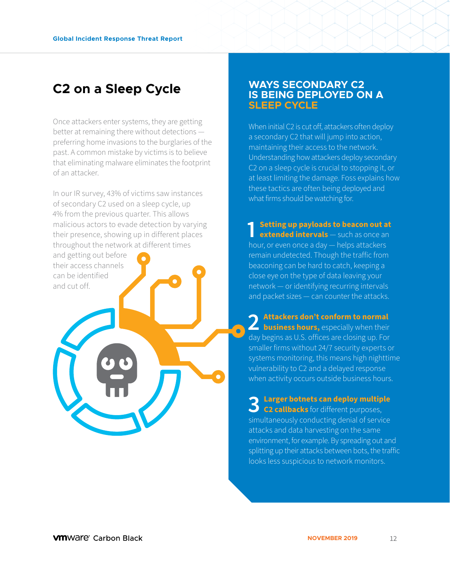### **C2 on a Sleep Cycle**

Once attackers enter systems, they are getting better at remaining there without detections preferring home invasions to the burglaries of the past. A common mistake by victims is to believe that eliminating malware eliminates the footprint of an attacker.

In our IR survey, 43% of victims saw instances of secondary C2 used on a sleep cycle, up 4% from the previous quarter. This allows malicious actors to evade detection by varying their presence, showing up in different places throughout the network at different times and getting out before

their access channels can be identified and cut off.

#### **WAYS SECONDARY C2 IS BEING DEPLOYED ON A SLEEP CYCLE**

When initial C2 is cut off, attackers often deploy a secondary C2 that will jump into action, maintaining their access to the network. Understanding how attackers deploy secondary C2 on a sleep cycle is crucial to stopping it, or at least limiting the damage. Foss explains how these tactics are often being deployed and what firms should be watching for.

**1 Setting up payloads to beacon out at extended intervals** — such as once an hour, or even once a day — helps attackers remain undetected. Though the traffic from beaconing can be hard to catch, keeping a close eye on the type of data leaving your network — or identifying recurring intervals and packet sizes — can counter the attacks.

2 **Attackers don't conform to normal**<br> **2 business hours,** especially when their day begins as U.S. offices are closing up. For smaller firms without 24/7 security experts or systems monitoring, this means high nighttime vulnerability to C2 and a delayed response when activity occurs outside business hours.

 $\bullet$ 

**3 Larger botnets can deploy multiple C2 callbacks** for different purposes, simultaneously conducting denial of service attacks and data harvesting on the same environment, for example. By spreading out and splitting up their attacks between bots, the traffic looks less suspicious to network monitors.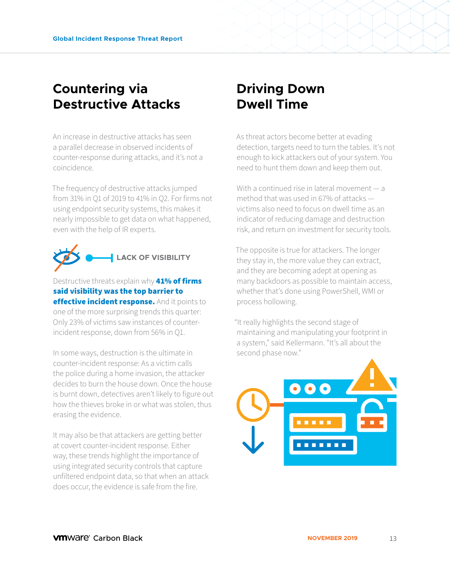### **Countering via Destructive Attacks**

An increase in destructive attacks has seen a parallel decrease in observed incidents of counter-response during attacks, and it's not a coincidence.

The frequency of destructive attacks jumped from 31% in Q1 of 2019 to 41% in Q2. For firms not using endpoint security systems, this makes it nearly impossible to get data on what happened, even with the help of IR experts.



Destructive threats explain why **41% of firms** said visibility was the top barrier to effective incident response. And it points to one of the more surprising trends this quarter: Only 23% of victims saw instances of counterincident response, down from 56% in Q1.

In some ways, destruction is the ultimate in counter-incident response: As a victim calls the police during a home invasion, the attacker decides to burn the house down. Once the house is burnt down, detectives aren't likely to figure out how the thieves broke in or what was stolen, thus erasing the evidence.

It may also be that attackers are getting better at covert counter-incident response. Either way, these trends highlight the importance of using integrated security controls that capture unfiltered endpoint data, so that when an attack does occur, the evidence is safe from the fire.

## **Driving Down Dwell Time**

As threat actors become better at evading detection, targets need to turn the tables. It's not enough to kick attackers out of your system. You need to hunt them down and keep them out.

With a continued rise in lateral movement — a method that was used in 67% of attacks victims also need to focus on dwell time as an indicator of reducing damage and destruction risk, and return on investment for security tools.

The opposite is true for attackers. The longer they stay in, the more value they can extract, and they are becoming adept at opening as many backdoors as possible to maintain access, whether that's done using PowerShell, WMI or process hollowing.

"It really highlights the second stage of maintaining and manipulating your footprint in a system," said Kellermann. "It's all about the second phase now."

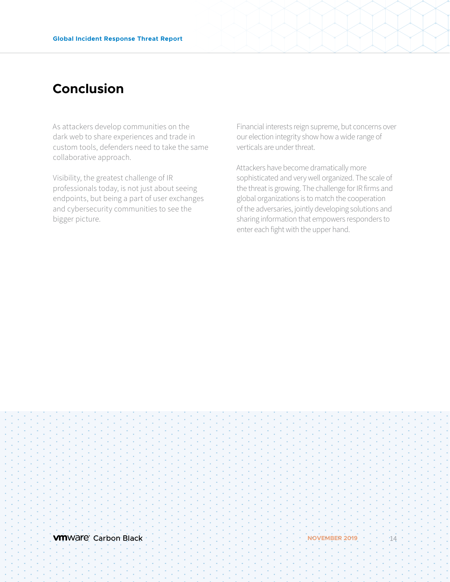## **Conclusion**

As attackers develop communities on the dark web to share experiences and trade in custom tools, defenders need to take the same collaborative approach.

Visibility, the greatest challenge of IR professionals today, is not just about seeing endpoints, but being a part of user exchanges and cybersecurity communities to see the bigger picture.

Financial interests reign supreme, but concerns over our election integrity show how a wide range of verticals are under threat.

Attackers have become dramatically more sophisticated and very well organized. The scale of the threat is growing. The challenge for IR firms and global organizations is to match the cooperation of the adversaries, jointly developing solutions and sharing information that empowers responders to enter each fight with the upper hand.

**vm**Ware Carbon Black **NOVEMBER 2019** 11 14